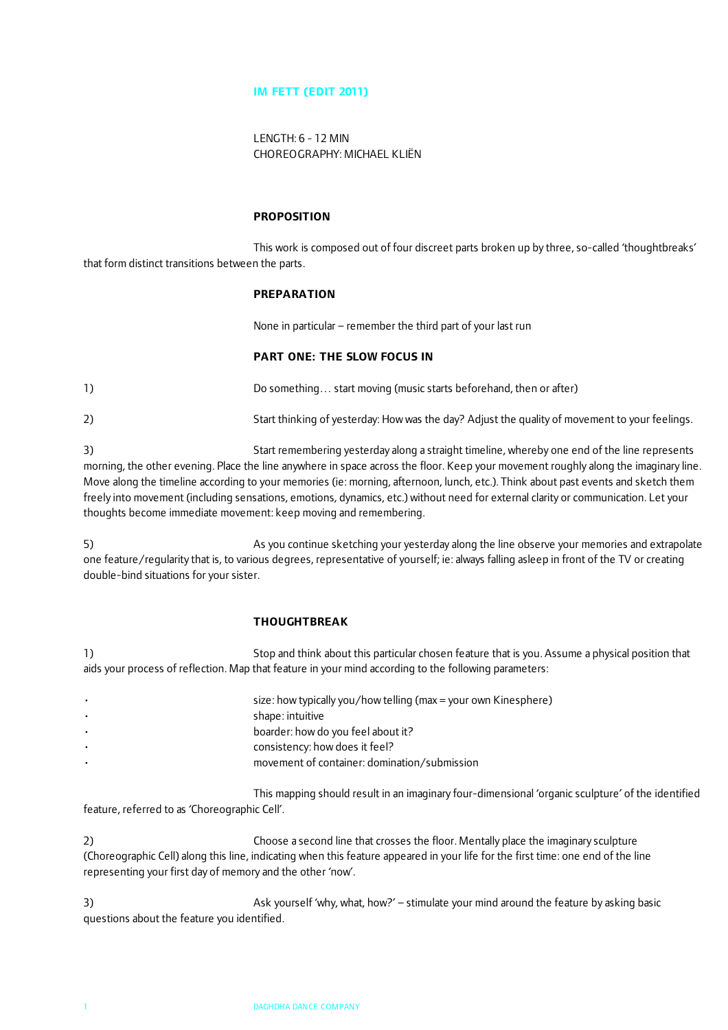## **IM FETT (EDIT 2011)**

LENGTH: 6 - 12 MIN CHOREOGRAPHY: MICHAEL KLIËN

#### **PROPOSITION**

This work is composed out of four discreet parts broken up by three, so-called 'thoughtbreaks' that form distinct transitions between the parts.

#### **PREPARATION**

None in particular – remember the third part of your last run

### **PART ONE: THE SLOW FOCUS IN**

1) Do something… start moving (music starts beforehand, then or after)

2) Start thinking of yesterday: How was the day? Adjust the quality of movement to your feelings.

3) Start remembering yesterday along a straight timeline, whereby one end of the line represents morning, the other evening. Place the line anywhere in space across the floor. Keep your movement roughly along the imaginary line. Move along the timeline according to your memories (ie: morning, afternoon, lunch, etc.). Think about past events and sketch them freely into movement (including sensations, emotions, dynamics, etc.) without need for external clarity or communication. Let your thoughts become immediate movement: keep moving and remembering.

5) As you continue sketching your yesterday along the line observe your memories and extrapolate one feature/regularity that is, to various degrees, representative of yourself; ie: always falling asleep in front of the TV or creating double-bind situations for your sister.

### **THOUGHTBREAK**

1) Stop and think about this particular chosen feature that is you. Assume a physical position that aids your process of reflection. Map that feature in your mind according to the following parameters:

| $\bullet$ | size: how typically you/how telling (max = your own Kinesphere) |
|-----------|-----------------------------------------------------------------|
| $\bullet$ | shape: intuitive                                                |
| $\bullet$ | boarder: how do you feel about it?                              |
| $\bullet$ | consistency: how does it feel?                                  |
| $\bullet$ | movement of container: domination/submission                    |
|           |                                                                 |

This mapping should result in an imaginary four-dimensional 'organic sculpture' of the identified feature, referred to as 'Choreographic Cell'.

2) Choose a second line that crosses the floor. Mentally place the imaginary sculpture (Choreographic Cell) along this line, indicating when this feature appeared in your life for the first time: one end of the line representing your first day of memory and the other 'now'.

3) Ask yourself 'why, what, how?' – stimulate your mind around the feature by asking basic questions about the feature you identified.